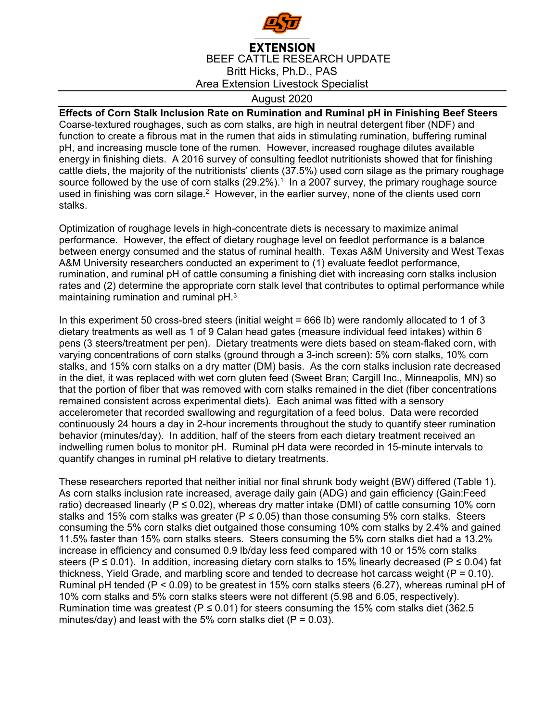

## **EXTENSION** BEEF CATTLE RESEARCH UPDATE Britt Hicks, Ph.D., PAS Area Extension Livestock Specialist

## August 2020

**Effects of Corn Stalk Inclusion Rate on Rumination and Ruminal pH in Finishing Beef Steers**  Coarse-textured roughages, such as corn stalks, are high in neutral detergent fiber (NDF) and function to create a fibrous mat in the rumen that aids in stimulating rumination, buffering ruminal pH, and increasing muscle tone of the rumen. However, increased roughage dilutes available energy in finishing diets. A 2016 survey of consulting feedlot nutritionists showed that for finishing cattle diets, the majority of the nutritionists' clients (37.5%) used corn silage as the primary roughage source followed by the use of corn stalks  $(29.2\%)$ <sup>1</sup> In a 2007 survey, the primary roughage source used in finishing was corn silage.<sup>2</sup> However, in the earlier survey, none of the clients used corn stalks.

Optimization of roughage levels in high-concentrate diets is necessary to maximize animal performance. However, the effect of dietary roughage level on feedlot performance is a balance between energy consumed and the status of ruminal health. Texas A&M University and West Texas A&M University researchers conducted an experiment to (1) evaluate feedlot performance, rumination, and ruminal pH of cattle consuming a finishing diet with increasing corn stalks inclusion rates and (2) determine the appropriate corn stalk level that contributes to optimal performance while maintaining rumination and ruminal pH.3

In this experiment 50 cross-bred steers (initial weight = 666 lb) were randomly allocated to 1 of 3 dietary treatments as well as 1 of 9 Calan head gates (measure individual feed intakes) within 6 pens (3 steers/treatment per pen). Dietary treatments were diets based on steam-flaked corn, with varying concentrations of corn stalks (ground through a 3-inch screen): 5% corn stalks, 10% corn stalks, and 15% corn stalks on a dry matter (DM) basis. As the corn stalks inclusion rate decreased in the diet, it was replaced with wet corn gluten feed (Sweet Bran; Cargill Inc., Minneapolis, MN) so that the portion of fiber that was removed with corn stalks remained in the diet (fiber concentrations remained consistent across experimental diets). Each animal was fitted with a sensory accelerometer that recorded swallowing and regurgitation of a feed bolus. Data were recorded continuously 24 hours a day in 2-hour increments throughout the study to quantify steer rumination behavior (minutes/day). In addition, half of the steers from each dietary treatment received an indwelling rumen bolus to monitor pH. Ruminal pH data were recorded in 15-minute intervals to quantify changes in ruminal pH relative to dietary treatments.

These researchers reported that neither initial nor final shrunk body weight (BW) differed (Table 1). As corn stalks inclusion rate increased, average daily gain (ADG) and gain efficiency (Gain:Feed ratio) decreased linearly ( $P \le 0.02$ ), whereas dry matter intake (DMI) of cattle consuming 10% corn stalks and 15% corn stalks was greater ( $P \le 0.05$ ) than those consuming 5% corn stalks. Steers consuming the 5% corn stalks diet outgained those consuming 10% corn stalks by 2.4% and gained 11.5% faster than 15% corn stalks steers. Steers consuming the 5% corn stalks diet had a 13.2% increase in efficiency and consumed 0.9 lb/day less feed compared with 10 or 15% corn stalks steers (P  $\leq$  0.01). In addition, increasing dietary corn stalks to 15% linearly decreased (P  $\leq$  0.04) fat thickness, Yield Grade, and marbling score and tended to decrease hot carcass weight  $(P = 0.10)$ . Ruminal pH tended (P < 0.09) to be greatest in 15% corn stalks steers (6.27), whereas ruminal pH of 10% corn stalks and 5% corn stalks steers were not different (5.98 and 6.05, respectively). Rumination time was greatest (P  $\leq$  0.01) for steers consuming the 15% corn stalks diet (362.5 minutes/day) and least with the 5% corn stalks diet ( $P = 0.03$ ).